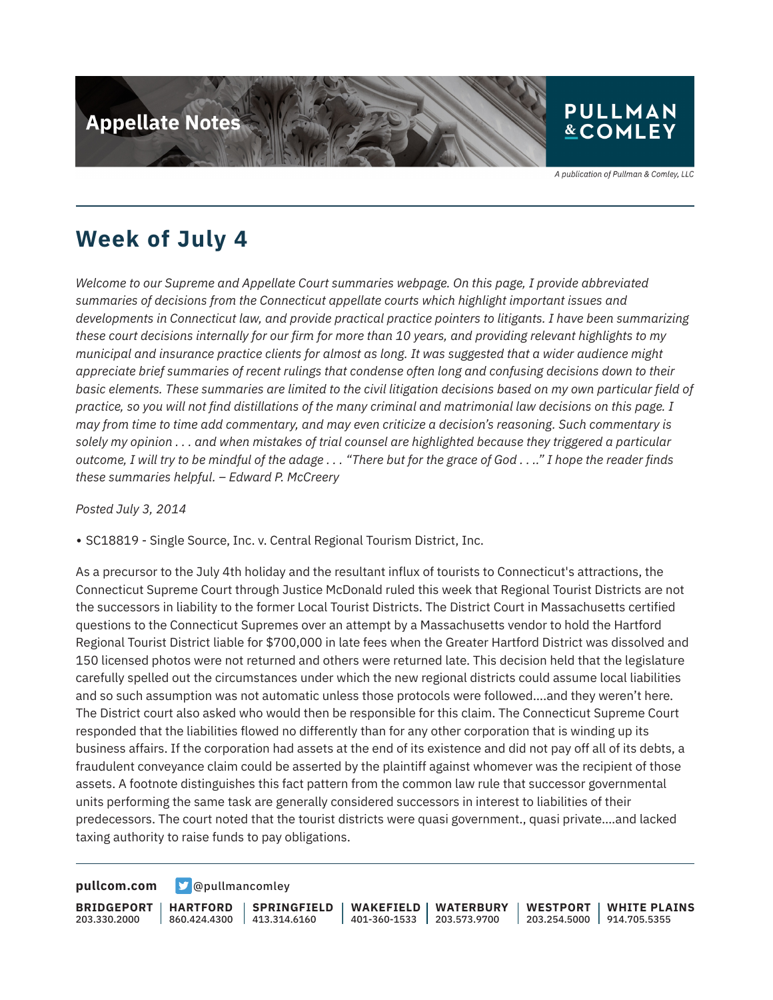

A publication of Pullman & Comley, LLC

## **Week of July 4**

*Welcome to our Supreme and Appellate Court summaries webpage. On this page, I provide abbreviated summaries of decisions from the Connecticut appellate courts which highlight important issues and developments in Connecticut law, and provide practical practice pointers to litigants. I have been summarizing these court decisions internally for our firm for more than 10 years, and providing relevant highlights to my municipal and insurance practice clients for almost as long. It was suggested that a wider audience might appreciate brief summaries of recent rulings that condense often long and confusing decisions down to their basic elements. These summaries are limited to the civil litigation decisions based on my own particular field of practice, so you will not find distillations of the many criminal and matrimonial law decisions on this page. I may from time to time add commentary, and may even criticize a decision's reasoning. Such commentary is solely my opinion . . . and when mistakes of trial counsel are highlighted because they triggered a particular outcome, I will try to be mindful of the adage . . . "There but for the grace of God . . .." I hope the reader finds these summaries helpful. – Edward P. McCreery*

*Posted July 3, 2014*

● SC18819 - Single Source, Inc. v. Central Regional Tourism District, Inc.

As a precursor to the July 4th holiday and the resultant influx of tourists to Connecticut's attractions, the Connecticut Supreme Court through Justice McDonald ruled this week that Regional Tourist Districts are not the successors in liability to the former Local Tourist Districts. The District Court in Massachusetts certified questions to the Connecticut Supremes over an attempt by a Massachusetts vendor to hold the Hartford Regional Tourist District liable for \$700,000 in late fees when the Greater Hartford District was dissolved and 150 licensed photos were not returned and others were returned late. This decision held that the legislature carefully spelled out the circumstances under which the new regional districts could assume local liabilities and so such assumption was not automatic unless those protocols were followed….and they weren't here. The District court also asked who would then be responsible for this claim. The Connecticut Supreme Court responded that the liabilities flowed no differently than for any other corporation that is winding up its business affairs. If the corporation had assets at the end of its existence and did not pay off all of its debts, a fraudulent conveyance claim could be asserted by the plaintiff against whomever was the recipient of those assets. A footnote distinguishes this fact pattern from the common law rule that successor governmental units performing the same task are generally considered successors in interest to liabilities of their predecessors. The court noted that the tourist districts were quasi government., quasi private….and lacked taxing authority to raise funds to pay obligations.

**[pullcom.com](https://www.pullcom.com) g** [@pullmancomley](https://twitter.com/PullmanComley)

**BRIDGEPORT** 203.330.2000

**HARTFORD** 860.424.4300 413.314.6160 **SPRINGFIELD** **WAKEFIELD** 401-360-1533 203.573.9700 **WATERBURY WESTPORT**

203.254.5000 914.705.5355 **WHITE PLAINS**